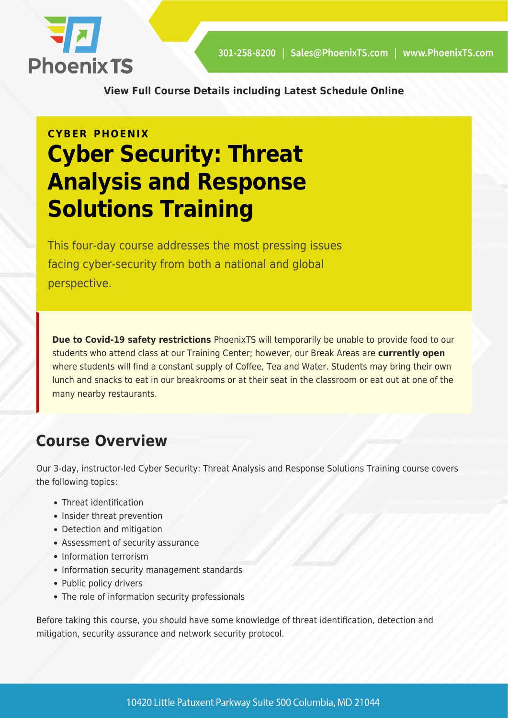

**[View Full Course Details including Latest Schedule Online](https://phoenixts.com/training-courses/cyber-security-threat-analysis-and-response-solutions/)**

# **CYBER PHOENIX Cyber Security: Threat Analysis and Response Solutions Training**

This four-day course addresses the most pressing issues facing cyber-security from both a national and global perspective.

**Due to Covid-19 safety restrictions** PhoenixTS will temporarily be unable to provide food to our students who attend class at our Training Center; however, our Break Areas are **currently open** where students will find a constant supply of Coffee, Tea and Water. Students may bring their own lunch and snacks to eat in our breakrooms or at their seat in the classroom or eat out at one of the many nearby restaurants.

# **Course Overview**

Our 3-day, instructor-led Cyber Security: Threat Analysis and Response Solutions Training course covers the following topics:

- Threat identification
- Insider threat prevention
- Detection and mitigation
- Assessment of security assurance
- Information terrorism
- Information security management standards
- Public policy drivers
- The role of information security professionals

Before taking this course, you should have some knowledge of threat identification, detection and mitigation, security assurance and network security protocol.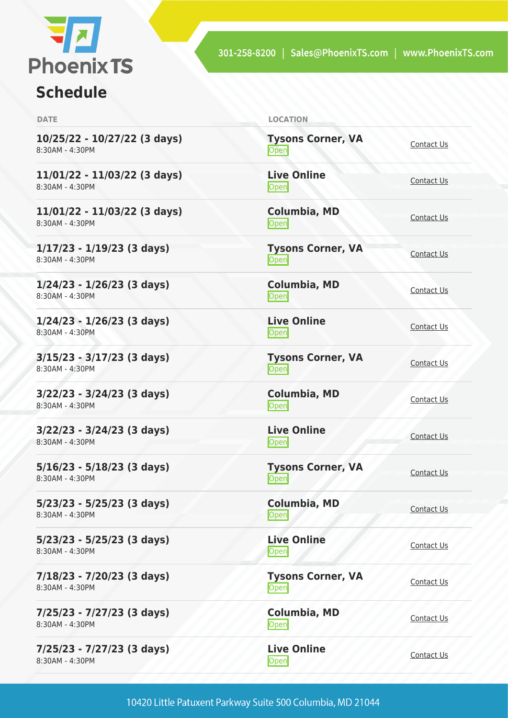

# **Schedule**

| <b>DATE</b>                                       | <b>LOCATION</b>                   |                   |
|---------------------------------------------------|-----------------------------------|-------------------|
| 10/25/22 - 10/27/22 (3 days)<br>8:30AM - 4:30PM   | <b>Tysons Corner, VA</b><br>Open  | Contact Us        |
| $11/01/22 - 11/03/22$ (3 days)<br>8:30AM - 4:30PM | <b>Live Online</b><br>Open        | Contact Us        |
| 11/01/22 - 11/03/22 (3 days)<br>8:30AM - 4:30PM   | Columbia, MD<br><b>Open</b>       | Contact Us        |
| $1/17/23 - 1/19/23$ (3 days)<br>8:30AM - 4:30PM   | <b>Tysons Corner, VA</b><br>Open  | Contact Us        |
| $1/24/23 - 1/26/23$ (3 days)<br>8:30AM - 4:30PM   | Columbia, MD<br>Open              | Contact Us        |
| $1/24/23 - 1/26/23$ (3 days)<br>8:30AM - 4:30PM   | <b>Live Online</b><br>Open        | Contact Us        |
| $3/15/23 - 3/17/23$ (3 days)<br>8:30AM - 4:30PM   | <b>Tysons Corner, VA</b><br>Open  | Contact Us        |
| $3/22/23 - 3/24/23$ (3 days)<br>8:30AM - 4:30PM   | Columbia, MD<br><b>Open</b>       | Contact Us        |
| 3/22/23 - 3/24/23 (3 days)<br>8:30AM - 4:30PM     | <b>Live Online</b><br><b>Open</b> | Contact Us        |
| $5/16/23 - 5/18/23$ (3 days)<br>8:30AM - 4:30PM   | <b>Tysons Corner, VA</b><br>Open  | Contact Us        |
| $5/23/23 - 5/25/23$ (3 days)<br>8:30AM - 4:30PM   | Columbia, MD<br>Open              | Contact Us        |
| $5/23/23 - 5/25/23$ (3 days)<br>8:30AM - 4:30PM   | <b>Live Online</b><br>Open        | Contact Us        |
| $7/18/23 - 7/20/23$ (3 days)<br>8:30AM - 4:30PM   | <b>Tysons Corner, VA</b><br>Open  | Contact Us        |
| 7/25/23 - 7/27/23 (3 days)<br>8:30AM - 4:30PM     | <b>Columbia, MD</b><br>Open       | Contact Us        |
| 7/25/23 - 7/27/23 (3 days)<br>8:30AM - 4:30PM     | <b>Live Online</b><br>Open        | <b>Contact Us</b> |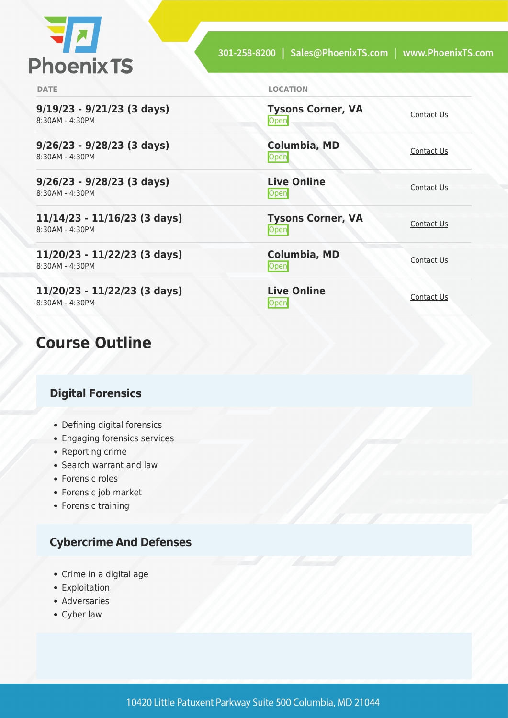

**Open** [Contact Us](https://phoenixts.com/schedule/more-info/?class=31708)

**[Contact Us](https://phoenixts.com/schedule/more-info/?class=31712)**<br> **Open** 

<u>[Contact Us](https://phoenixts.com/schedule/more-info/?class=31713)</u><br>Open

<u>Open</u> [Contact Us](https://phoenixts.com/schedule/more-info/?class=31709)

[Contact Us](https://phoenixts.com/schedule/more-info/?class=31710)<br>
Open

<u>Open</u> [Contact Us](https://phoenixts.com/schedule/more-info/?class=31711)

**Tysons Corner, VA**

**Tysons Corner, VA**

**Columbia, MD**

**Live Online**

**Columbia, MD**

**Live Online**

**DATE LOCATION**

**9/19/23 - 9/21/23 (3 days)** 8:30AM - 4:30PM

**9/26/23 - 9/28/23 (3 days)** 8:30AM - 4:30PM

**9/26/23 - 9/28/23 (3 days)** 8:30AM - 4:30PM

**11/14/23 - 11/16/23 (3 days)** 8:30AM - 4:30PM

**11/20/23 - 11/22/23 (3 days)** 8:30AM - 4:30PM

**11/20/23 - 11/22/23 (3 days)** 8:30AM - 4:30PM

# **Course Outline**

# **Digital Forensics**

- Defining digital forensics
- Engaging forensics services
- Reporting crime
- Search warrant and law
- Forensic roles
- Forensic job market
- Forensic training

# **Cybercrime And Defenses**

- Crime in a digital age
- Exploitation
- Adversaries
- Cyber law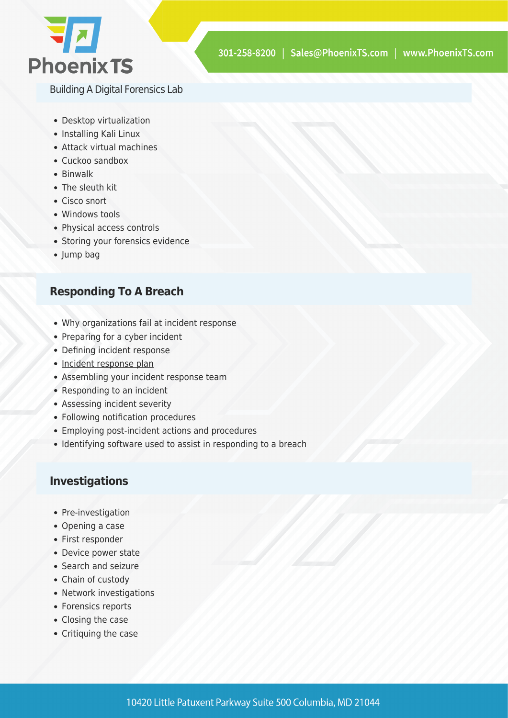

Building A Digital Forensics Lab

- Desktop virtualization
- Installing Kali Linux
- Attack virtual machines
- Cuckoo sandbox
- Binwalk
- The sleuth kit
- Cisco snort
- Windows tools
- Physical access controls
- Storing your forensics evidence
- Jump bag

# **Responding To A Breach**

- Why organizations fail at incident response
- Preparing for a cyber incident
- Defining incident response
- [Incident response plan](https://phoenixts.com/2016/05/20/7-stages-incident-response-plan/)
- Assembling your incident response team
- Responding to an incident
- Assessing incident severity
- Following notification procedures
- Employing post-incident actions and procedures
- Identifying software used to assist in responding to a breach

#### **Investigations**

- Pre-investigation
- Opening a case
- First responder
- Device power state
- Search and seizure
- Chain of custody
- Network investigations
- Forensics reports
- Closing the case
- Critiquing the case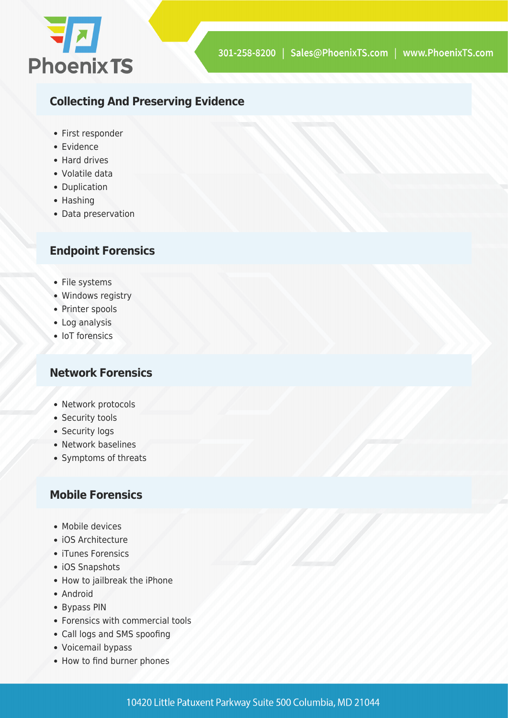

# **Collecting And Preserving Evidence**

- First responder
- Evidence
- Hard drives
- Volatile data
- Duplication
- Hashing
- Data preservation

# **Endpoint Forensics**

- File systems
- Windows registry
- Printer spools
- Log analysis
- IoT forensics

# **Network Forensics**

- Network protocols
- Security tools
- Security logs
- Network baselines
- Symptoms of threats

# **Mobile Forensics**

- Mobile devices
- iOS Architecture
- iTunes Forensics
- iOS Snapshots
- How to jailbreak the iPhone
- Android
- Bypass PIN
- Forensics with commercial tools
- Call logs and SMS spoofing
- Voicemail bypass
- How to find burner phones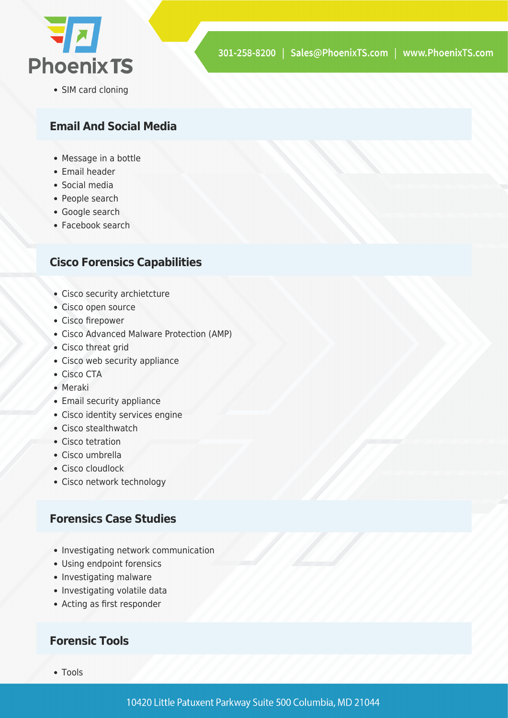

• SIM card cloning

# **Email And Social Media**

- Message in a bottle
- Email header
- Social media
- People search
- Google search
- Facebook search

### **Cisco Forensics Capabilities**

- Cisco security archietcture
- Cisco open source
- Cisco firepower
- Cisco Advanced Malware Protection (AMP)
- Cisco threat grid
- Cisco web security appliance
- Cisco CTA
- Meraki
- Email security appliance
- Cisco identity services engine
- Cisco stealthwatch
- Cisco tetration
- Cisco umbrella
- Cisco cloudlock
- Cisco network technology

# **Forensics Case Studies**

- Investigating network communication
- Using endpoint forensics
- Investigating malware
- Investigating volatile data
- Acting as first responder

### **Forensic Tools**

• Tools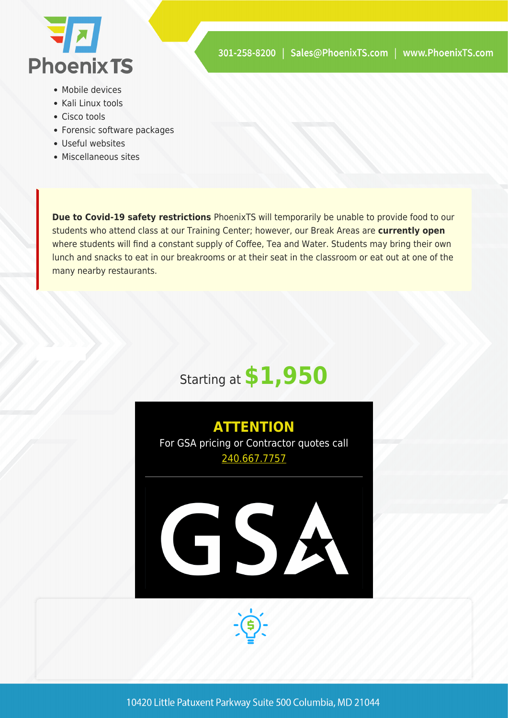

- Mobile devices
- Kali Linux tools
- Cisco tools
- Forensic software packages
- Useful websites
- Miscellaneous sites

**Due to Covid-19 safety restrictions** PhoenixTS will temporarily be unable to provide food to our students who attend class at our Training Center; however, our Break Areas are **currently open** where students will find a constant supply of Coffee, Tea and Water. Students may bring their own lunch and snacks to eat in our breakrooms or at their seat in the classroom or eat out at one of the many nearby restaurants.